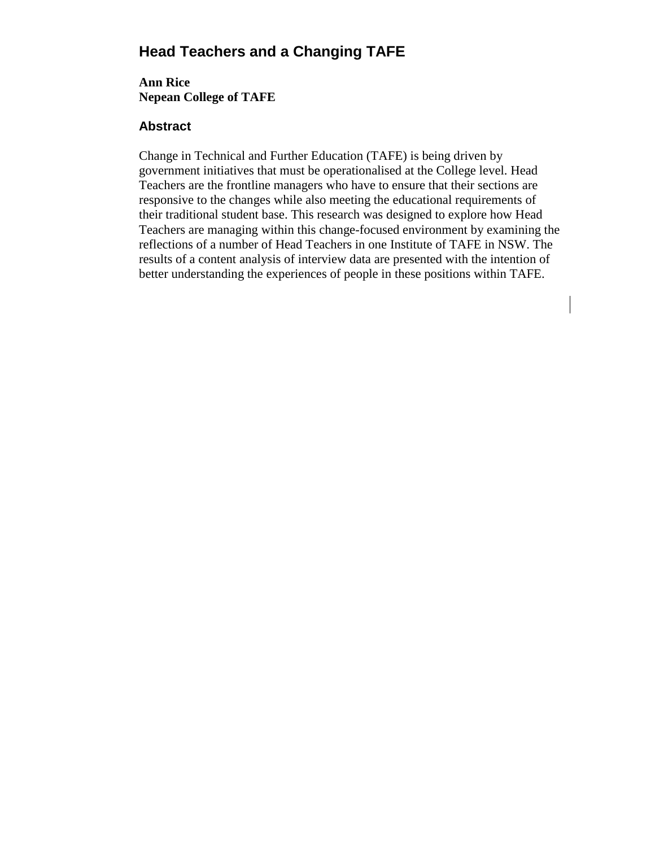# **Head Teachers and a Changing TAFE**

**Ann Rice Nepean College of TAFE** 

## **Abstract**

Change in Technical and Further Education (TAFE) is being driven by government initiatives that must be operationalised at the College level. Head Teachers are the frontline managers who have to ensure that their sections are responsive to the changes while also meeting the educational requirements of their traditional student base. This research was designed to explore how Head Teachers are managing within this change-focused environment by examining the reflections of a number of Head Teachers in one Institute of TAFE in NSW. The results of a content analysis of interview data are presented with the intention of better understanding the experiences of people in these positions within TAFE.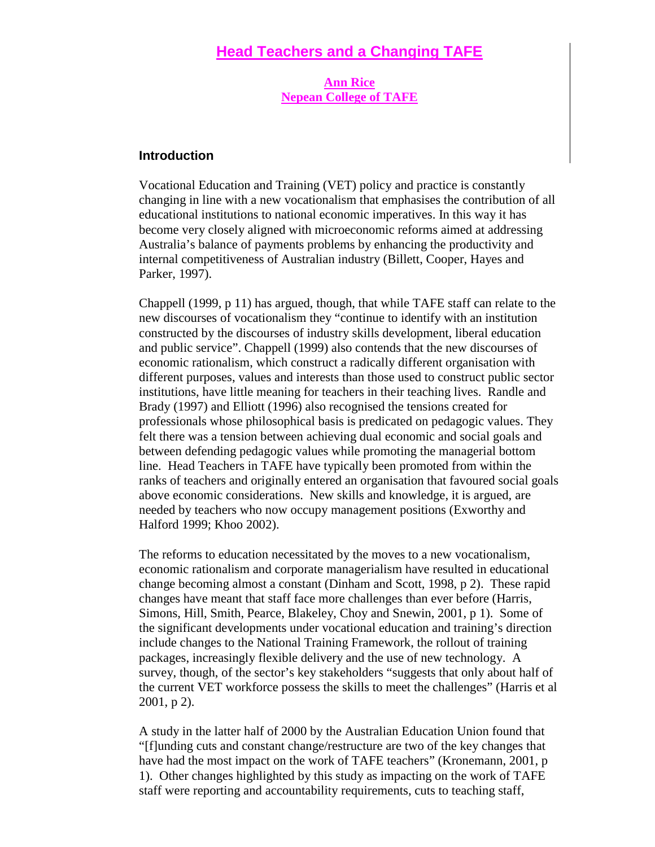## **Head Teachers and a Changing TAFE**

#### **Ann Rice Nepean College of TAFE**

#### **Introduction**

Vocational Education and Training (VET) policy and practice is constantly changing in line with a new vocationalism that emphasises the contribution of all educational institutions to national economic imperatives. In this way it has become very closely aligned with microeconomic reforms aimed at addressing Australia's balance of payments problems by enhancing the productivity and internal competitiveness of Australian industry (Billett, Cooper, Hayes and Parker, 1997).

Chappell (1999, p 11) has argued, though, that while TAFE staff can relate to the new discourses of vocationalism they "continue to identify with an institution constructed by the discourses of industry skills development, liberal education and public service". Chappell (1999) also contends that the new discourses of economic rationalism, which construct a radically different organisation with different purposes, values and interests than those used to construct public sector institutions, have little meaning for teachers in their teaching lives. Randle and Brady (1997) and Elliott (1996) also recognised the tensions created for professionals whose philosophical basis is predicated on pedagogic values. They felt there was a tension between achieving dual economic and social goals and between defending pedagogic values while promoting the managerial bottom line. Head Teachers in TAFE have typically been promoted from within the ranks of teachers and originally entered an organisation that favoured social goals above economic considerations. New skills and knowledge, it is argued, are needed by teachers who now occupy management positions (Exworthy and Halford 1999; Khoo 2002).

The reforms to education necessitated by the moves to a new vocationalism, economic rationalism and corporate managerialism have resulted in educational change becoming almost a constant (Dinham and Scott, 1998, p 2). These rapid changes have meant that staff face more challenges than ever before (Harris, Simons, Hill, Smith, Pearce, Blakeley, Choy and Snewin, 2001, p 1). Some of the significant developments under vocational education and training's direction include changes to the National Training Framework, the rollout of training packages, increasingly flexible delivery and the use of new technology. A survey, though, of the sector's key stakeholders "suggests that only about half of the current VET workforce possess the skills to meet the challenges" (Harris et al 2001, p 2).

A study in the latter half of 2000 by the Australian Education Union found that "[f]unding cuts and constant change/restructure are two of the key changes that have had the most impact on the work of TAFE teachers" (Kronemann, 2001, p 1). Other changes highlighted by this study as impacting on the work of TAFE staff were reporting and accountability requirements, cuts to teaching staff,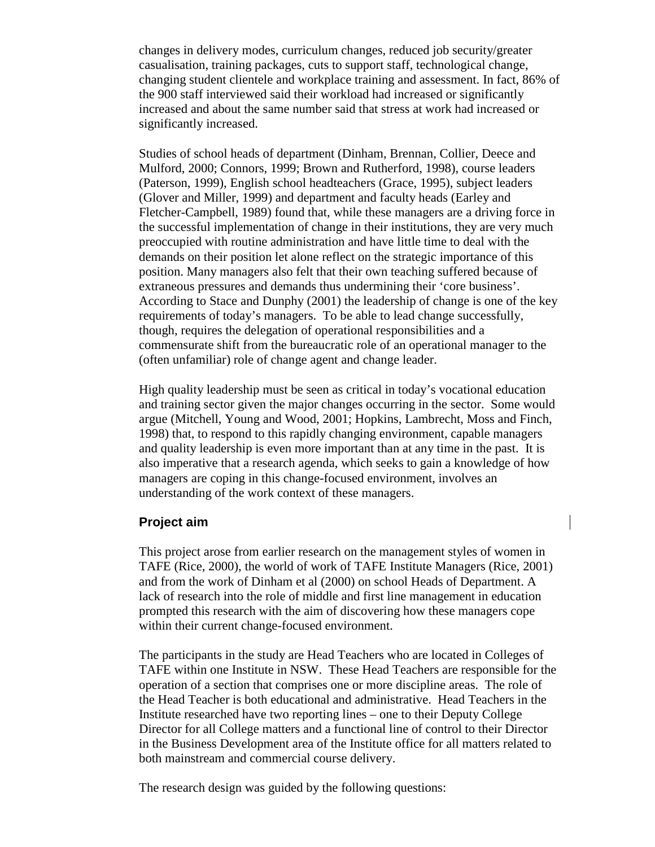changes in delivery modes, curriculum changes, reduced job security/greater casualisation, training packages, cuts to support staff, technological change, changing student clientele and workplace training and assessment. In fact, 86% of the 900 staff interviewed said their workload had increased or significantly increased and about the same number said that stress at work had increased or significantly increased.

Studies of school heads of department (Dinham, Brennan, Collier, Deece and Mulford, 2000; Connors, 1999; Brown and Rutherford, 1998), course leaders (Paterson, 1999), English school headteachers (Grace, 1995), subject leaders (Glover and Miller, 1999) and department and faculty heads (Earley and Fletcher-Campbell, 1989) found that, while these managers are a driving force in the successful implementation of change in their institutions, they are very much preoccupied with routine administration and have little time to deal with the demands on their position let alone reflect on the strategic importance of this position. Many managers also felt that their own teaching suffered because of extraneous pressures and demands thus undermining their 'core business'. According to Stace and Dunphy (2001) the leadership of change is one of the key requirements of today's managers. To be able to lead change successfully, though, requires the delegation of operational responsibilities and a commensurate shift from the bureaucratic role of an operational manager to the (often unfamiliar) role of change agent and change leader.

High quality leadership must be seen as critical in today's vocational education and training sector given the major changes occurring in the sector. Some would argue (Mitchell, Young and Wood, 2001; Hopkins, Lambrecht, Moss and Finch, 1998) that, to respond to this rapidly changing environment, capable managers and quality leadership is even more important than at any time in the past. It is also imperative that a research agenda, which seeks to gain a knowledge of how managers are coping in this change-focused environment, involves an understanding of the work context of these managers.

#### **Project aim**

This project arose from earlier research on the management styles of women in TAFE (Rice, 2000), the world of work of TAFE Institute Managers (Rice, 2001) and from the work of Dinham et al (2000) on school Heads of Department. A lack of research into the role of middle and first line management in education prompted this research with the aim of discovering how these managers cope within their current change-focused environment.

The participants in the study are Head Teachers who are located in Colleges of TAFE within one Institute in NSW. These Head Teachers are responsible for the operation of a section that comprises one or more discipline areas. The role of the Head Teacher is both educational and administrative. Head Teachers in the Institute researched have two reporting lines – one to their Deputy College Director for all College matters and a functional line of control to their Director in the Business Development area of the Institute office for all matters related to both mainstream and commercial course delivery.

The research design was guided by the following questions: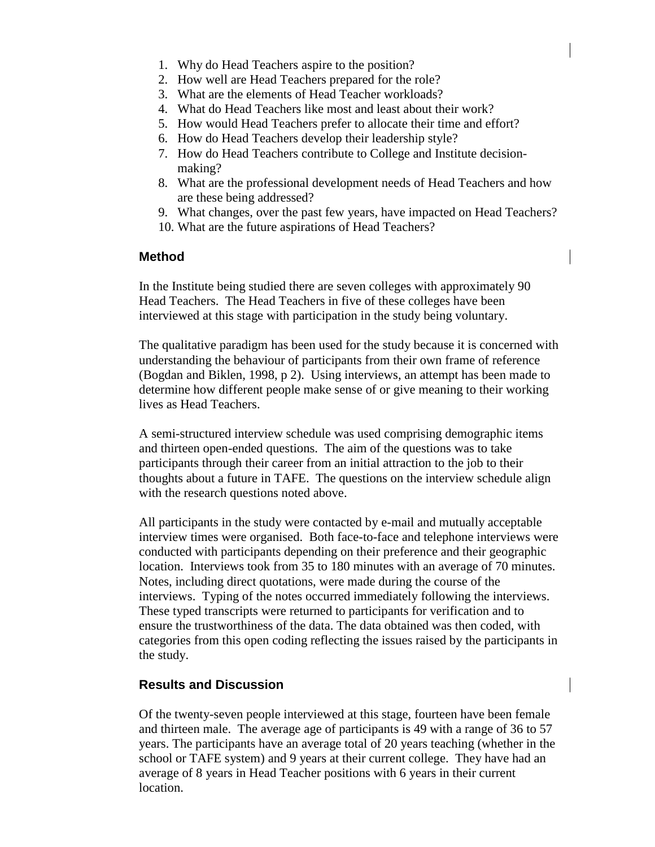- 1. Why do Head Teachers aspire to the position?
- 2. How well are Head Teachers prepared for the role?
- 3. What are the elements of Head Teacher workloads?
- 4. What do Head Teachers like most and least about their work?
- 5. How would Head Teachers prefer to allocate their time and effort?
- 6. How do Head Teachers develop their leadership style?
- 7. How do Head Teachers contribute to College and Institute decisionmaking?
- 8. What are the professional development needs of Head Teachers and how are these being addressed?
- 9. What changes, over the past few years, have impacted on Head Teachers?
- 10. What are the future aspirations of Head Teachers?

## **Method**

In the Institute being studied there are seven colleges with approximately 90 Head Teachers. The Head Teachers in five of these colleges have been interviewed at this stage with participation in the study being voluntary.

The qualitative paradigm has been used for the study because it is concerned with understanding the behaviour of participants from their own frame of reference (Bogdan and Biklen, 1998, p 2). Using interviews, an attempt has been made to determine how different people make sense of or give meaning to their working lives as Head Teachers.

A semi-structured interview schedule was used comprising demographic items and thirteen open-ended questions. The aim of the questions was to take participants through their career from an initial attraction to the job to their thoughts about a future in TAFE. The questions on the interview schedule align with the research questions noted above.

All participants in the study were contacted by e-mail and mutually acceptable interview times were organised. Both face-to-face and telephone interviews were conducted with participants depending on their preference and their geographic location. Interviews took from 35 to 180 minutes with an average of 70 minutes. Notes, including direct quotations, were made during the course of the interviews. Typing of the notes occurred immediately following the interviews. These typed transcripts were returned to participants for verification and to ensure the trustworthiness of the data. The data obtained was then coded, with categories from this open coding reflecting the issues raised by the participants in the study.

## **Results and Discussion**

Of the twenty-seven people interviewed at this stage, fourteen have been female and thirteen male. The average age of participants is 49 with a range of 36 to 57 years. The participants have an average total of 20 years teaching (whether in the school or TAFE system) and 9 years at their current college. They have had an average of 8 years in Head Teacher positions with 6 years in their current location.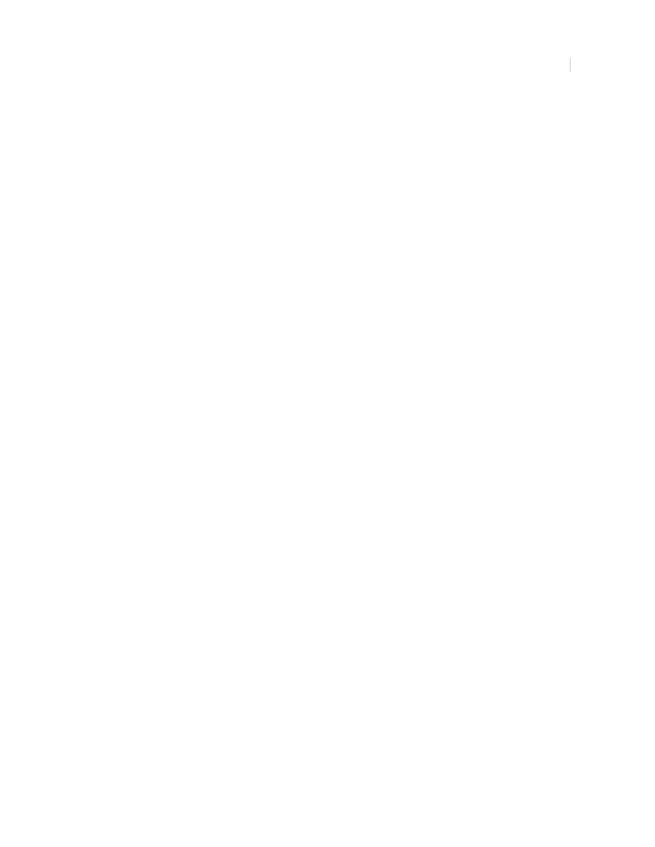$\begin{array}{c} \hline \end{array}$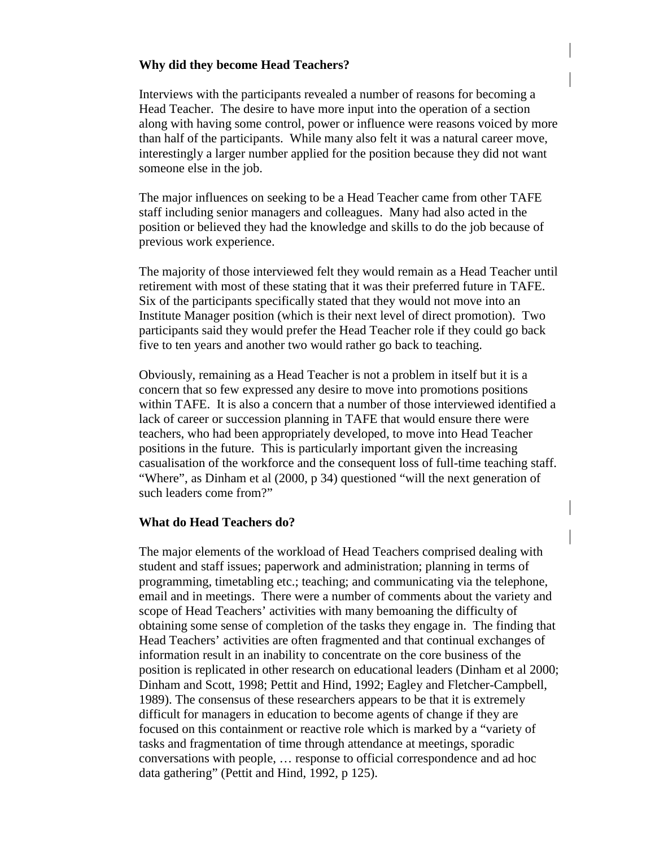#### **Why did they become Head Teachers?**

Interviews with the participants revealed a number of reasons for becoming a Head Teacher. The desire to have more input into the operation of a section along with having some control, power or influence were reasons voiced by more than half of the participants. While many also felt it was a natural career move, interestingly a larger number applied for the position because they did not want someone else in the job.

The major influences on seeking to be a Head Teacher came from other TAFE staff including senior managers and colleagues. Many had also acted in the position or believed they had the knowledge and skills to do the job because of previous work experience.

The majority of those interviewed felt they would remain as a Head Teacher until retirement with most of these stating that it was their preferred future in TAFE. Six of the participants specifically stated that they would not move into an Institute Manager position (which is their next level of direct promotion). Two participants said they would prefer the Head Teacher role if they could go back five to ten years and another two would rather go back to teaching.

Obviously, remaining as a Head Teacher is not a problem in itself but it is a concern that so few expressed any desire to move into promotions positions within TAFE. It is also a concern that a number of those interviewed identified a lack of career or succession planning in TAFE that would ensure there were teachers, who had been appropriately developed, to move into Head Teacher positions in the future. This is particularly important given the increasing casualisation of the workforce and the consequent loss of full-time teaching staff. "Where", as Dinham et al (2000, p 34) questioned "will the next generation of such leaders come from?"

#### **What do Head Teachers do?**

The major elements of the workload of Head Teachers comprised dealing with student and staff issues; paperwork and administration; planning in terms of programming, timetabling etc.; teaching; and communicating via the telephone, email and in meetings. There were a number of comments about the variety and scope of Head Teachers' activities with many bemoaning the difficulty of obtaining some sense of completion of the tasks they engage in. The finding that Head Teachers' activities are often fragmented and that continual exchanges of information result in an inability to concentrate on the core business of the position is replicated in other research on educational leaders (Dinham et al 2000; Dinham and Scott, 1998; Pettit and Hind, 1992; Eagley and Fletcher-Campbell, 1989). The consensus of these researchers appears to be that it is extremely difficult for managers in education to become agents of change if they are focused on this containment or reactive role which is marked by a "variety of tasks and fragmentation of time through attendance at meetings, sporadic conversations with people, … response to official correspondence and ad hoc data gathering" (Pettit and Hind, 1992, p 125).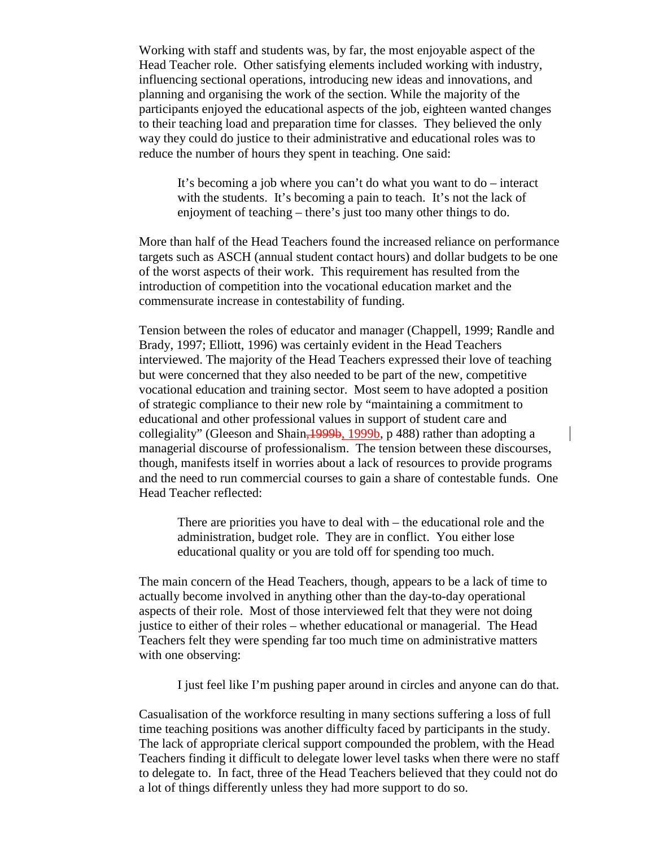Working with staff and students was, by far, the most enjoyable aspect of the Head Teacher role. Other satisfying elements included working with industry, influencing sectional operations, introducing new ideas and innovations, and planning and organising the work of the section. While the majority of the participants enjoyed the educational aspects of the job, eighteen wanted changes to their teaching load and preparation time for classes. They believed the only way they could do justice to their administrative and educational roles was to reduce the number of hours they spent in teaching. One said:

It's becoming a job where you can't do what you want to do – interact with the students. It's becoming a pain to teach. It's not the lack of enjoyment of teaching – there's just too many other things to do.

More than half of the Head Teachers found the increased reliance on performance targets such as ASCH (annual student contact hours) and dollar budgets to be one of the worst aspects of their work. This requirement has resulted from the introduction of competition into the vocational education market and the commensurate increase in contestability of funding.

Tension between the roles of educator and manager (Chappell, 1999; Randle and Brady, 1997; Elliott, 1996) was certainly evident in the Head Teachers interviewed. The majority of the Head Teachers expressed their love of teaching but were concerned that they also needed to be part of the new, competitive vocational education and training sector. Most seem to have adopted a position of strategic compliance to their new role by "maintaining a commitment to educational and other professional values in support of student care and collegiality" (Gleeson and Shain, 1999b, 1999b, p 488) rather than adopting a managerial discourse of professionalism. The tension between these discourses, though, manifests itself in worries about a lack of resources to provide programs and the need to run commercial courses to gain a share of contestable funds. One Head Teacher reflected:

There are priorities you have to deal with – the educational role and the administration, budget role. They are in conflict. You either lose educational quality or you are told off for spending too much.

The main concern of the Head Teachers, though, appears to be a lack of time to actually become involved in anything other than the day-to-day operational aspects of their role. Most of those interviewed felt that they were not doing justice to either of their roles – whether educational or managerial. The Head Teachers felt they were spending far too much time on administrative matters with one observing:

I just feel like I'm pushing paper around in circles and anyone can do that.

Casualisation of the workforce resulting in many sections suffering a loss of full time teaching positions was another difficulty faced by participants in the study. The lack of appropriate clerical support compounded the problem, with the Head Teachers finding it difficult to delegate lower level tasks when there were no staff to delegate to. In fact, three of the Head Teachers believed that they could not do a lot of things differently unless they had more support to do so.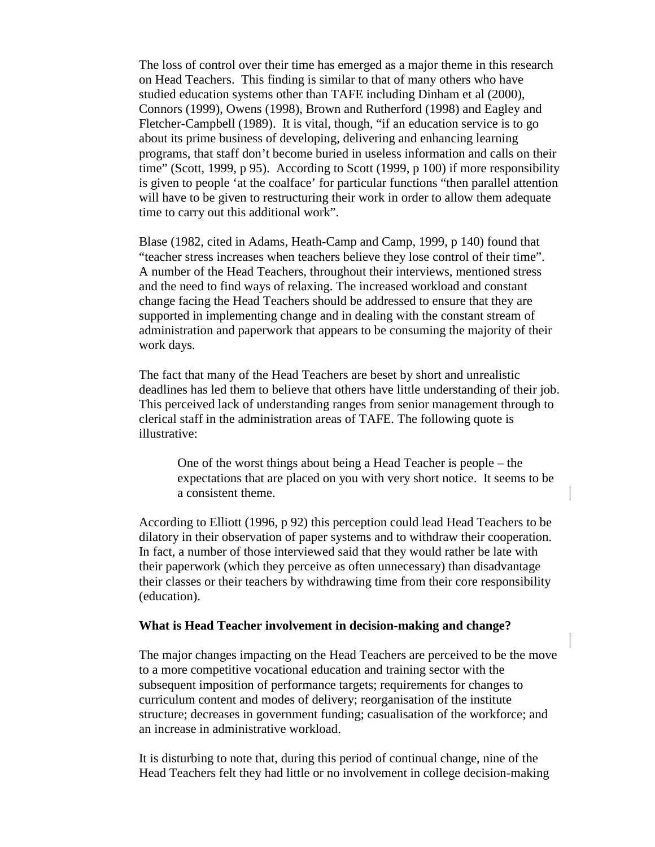The loss of control over their time has emerged as a major theme in this research on Head Teachers. This finding is similar to that of many others who have studied education systems other than TAFE including Dinham et al (2000), Connors (1999), Owens (1998), Brown and Rutherford (1998) and Eagley and Fletcher-Campbell (1989). It is vital, though, "if an education service is to go about its prime business of developing, delivering and enhancing learning programs, that staff don't become buried in useless information and calls on their time" (Scott, 1999, p 95). According to Scott (1999, p 100) if more responsibility is given to people 'at the coalface' for particular functions "then parallel attention will have to be given to restructuring their work in order to allow them adequate time to carry out this additional work".

Blase (1982, cited in Adams, Heath-Camp and Camp, 1999, p 140) found that "teacher stress increases when teachers believe they lose control of their time". A number of the Head Teachers, throughout their interviews, mentioned stress and the need to find ways of relaxing. The increased workload and constant change facing the Head Teachers should be addressed to ensure that they are supported in implementing change and in dealing with the constant stream of administration and paperwork that appears to be consuming the majority of their work days.

The fact that many of the Head Teachers are beset by short and unrealistic deadlines has led them to believe that others have little understanding of their job. This perceived lack of understanding ranges from senior management through to clerical staff in the administration areas of TAFE. The following quote is illustrative:

One of the worst things about being a Head Teacher is people – the expectations that are placed on you with very short notice. It seems to be a consistent theme.

According to Elliott (1996, p 92) this perception could lead Head Teachers to be dilatory in their observation of paper systems and to withdraw their cooperation. In fact, a number of those interviewed said that they would rather be late with their paperwork (which they perceive as often unnecessary) than disadvantage their classes or their teachers by withdrawing time from their core responsibility (education).

#### **What is Head Teacher involvement in decision-making and change?**

The major changes impacting on the Head Teachers are perceived to be the move to a more competitive vocational education and training sector with the subsequent imposition of performance targets; requirements for changes to curriculum content and modes of delivery; reorganisation of the institute structure; decreases in government funding; casualisation of the workforce; and an increase in administrative workload.

It is disturbing to note that, during this period of continual change, nine of the Head Teachers felt they had little or no involvement in college decision-making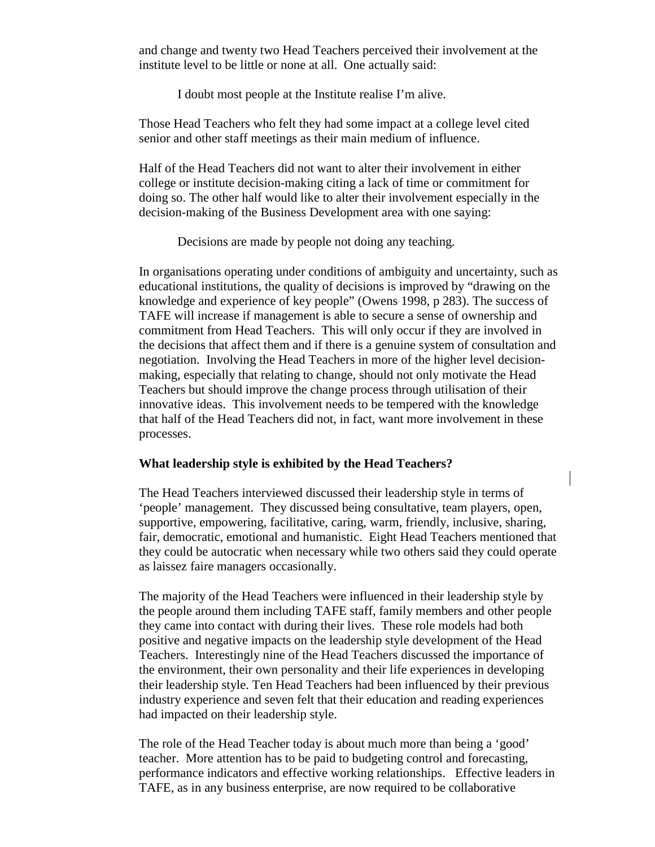and change and twenty two Head Teachers perceived their involvement at the institute level to be little or none at all. One actually said:

I doubt most people at the Institute realise I'm alive.

Those Head Teachers who felt they had some impact at a college level cited senior and other staff meetings as their main medium of influence.

Half of the Head Teachers did not want to alter their involvement in either college or institute decision-making citing a lack of time or commitment for doing so. The other half would like to alter their involvement especially in the decision-making of the Business Development area with one saying:

Decisions are made by people not doing any teaching*.* 

In organisations operating under conditions of ambiguity and uncertainty, such as educational institutions, the quality of decisions is improved by "drawing on the knowledge and experience of key people" (Owens 1998, p 283). The success of TAFE will increase if management is able to secure a sense of ownership and commitment from Head Teachers. This will only occur if they are involved in the decisions that affect them and if there is a genuine system of consultation and negotiation. Involving the Head Teachers in more of the higher level decisionmaking, especially that relating to change, should not only motivate the Head Teachers but should improve the change process through utilisation of their innovative ideas. This involvement needs to be tempered with the knowledge that half of the Head Teachers did not, in fact, want more involvement in these processes.

## **What leadership style is exhibited by the Head Teachers?**

The Head Teachers interviewed discussed their leadership style in terms of 'people' management. They discussed being consultative, team players, open, supportive, empowering, facilitative, caring, warm, friendly, inclusive, sharing, fair, democratic, emotional and humanistic. Eight Head Teachers mentioned that they could be autocratic when necessary while two others said they could operate as laissez faire managers occasionally.

The majority of the Head Teachers were influenced in their leadership style by the people around them including TAFE staff, family members and other people they came into contact with during their lives. These role models had both positive and negative impacts on the leadership style development of the Head Teachers. Interestingly nine of the Head Teachers discussed the importance of the environment, their own personality and their life experiences in developing their leadership style. Ten Head Teachers had been influenced by their previous industry experience and seven felt that their education and reading experiences had impacted on their leadership style.

The role of the Head Teacher today is about much more than being a 'good' teacher. More attention has to be paid to budgeting control and forecasting, performance indicators and effective working relationships. Effective leaders in TAFE, as in any business enterprise, are now required to be collaborative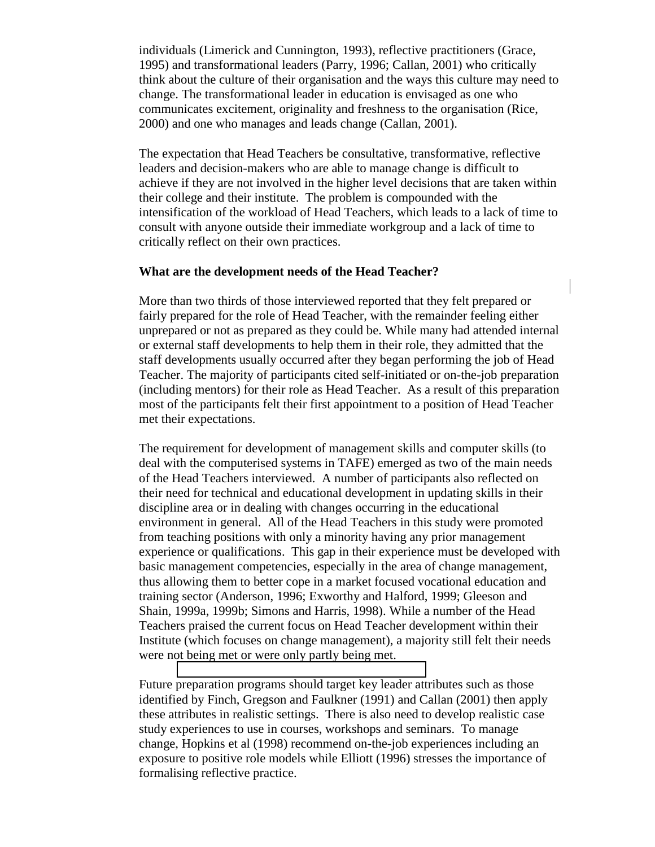individuals (Limerick and Cunnington, 1993), reflective practitioners (Grace, 1995) and transformational leaders (Parry, 1996; Callan, 2001) who critically think about the culture of their organisation and the ways this culture may need to change. The transformational leader in education is envisaged as one who communicates excitement, originality and freshness to the organisation (Rice, 2000) and one who manages and leads change (Callan, 2001).

The expectation that Head Teachers be consultative, transformative, reflective leaders and decision-makers who are able to manage change is difficult to achieve if they are not involved in the higher level decisions that are taken within their college and their institute. The problem is compounded with the intensification of the workload of Head Teachers, which leads to a lack of time to consult with anyone outside their immediate workgroup and a lack of time to critically reflect on their own practices.

#### **What are the development needs of the Head Teacher?**

More than two thirds of those interviewed reported that they felt prepared or fairly prepared for the role of Head Teacher, with the remainder feeling either unprepared or not as prepared as they could be. While many had attended internal or external staff developments to help them in their role, they admitted that the staff developments usually occurred after they began performing the job of Head Teacher. The majority of participants cited self-initiated or on-the-job preparation (including mentors) for their role as Head Teacher. As a result of this preparation most of the participants felt their first appointment to a position of Head Teacher met their expectations.

The requirement for development of management skills and computer skills (to deal with the computerised systems in TAFE) emerged as two of the main needs of the Head Teachers interviewed. A number of participants also reflected on their need for technical and educational development in updating skills in their discipline area or in dealing with changes occurring in the educational environment in general. All of the Head Teachers in this study were promoted from teaching positions with only a minority having any prior management experience or qualifications. This gap in their experience must be developed with basic management competencies, especially in the area of change management, thus allowing them to better cope in a market focused vocational education and training sector (Anderson, 1996; Exworthy and Halford, 1999; Gleeson and Shain, 1999a, 1999b; Simons and Harris, 1998). While a number of the Head Teachers praised the current focus on Head Teacher development within their Institute (which focuses on change management), a majority still felt their needs were not being met or were only partly being met.

Future preparation programs should target key leader attributes such as those identified by Finch, Gregson and Faulkner (1991) and Callan (2001) then apply these attributes in realistic settings. There is also need to develop realistic case study experiences to use in courses, workshops and seminars. To manage change, Hopkins et al (1998) recommend on-the-job experiences including an exposure to positive role models while Elliott (1996) stresses the importance of formalising reflective practice.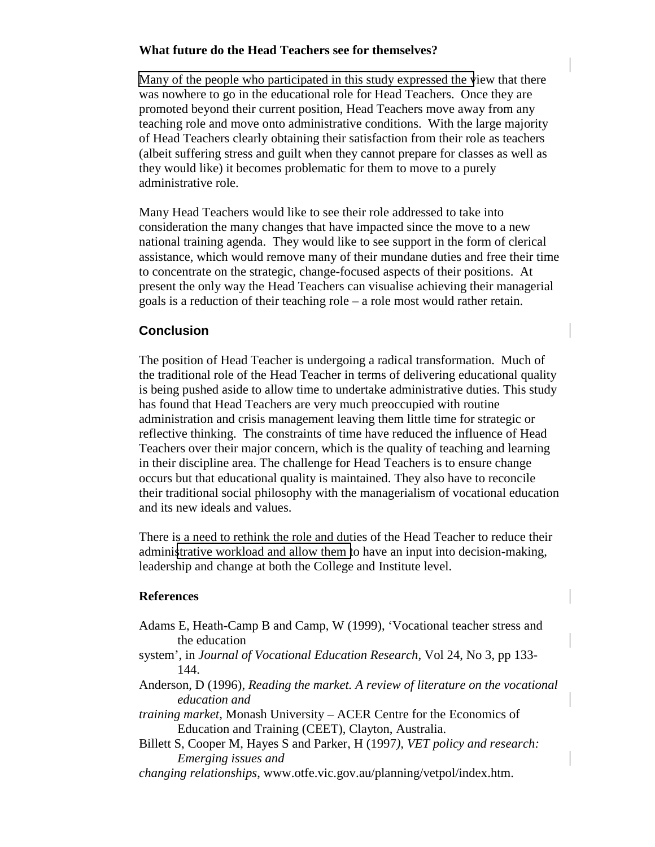#### **What future do the Head Teachers see for themselves?**

[Many of the people who participated in this study expressed the v](http://www.uts.edu.au/fac/edu/rcvet/working papers/9931Chap.pdf)iew that there was nowhere to go in the educational role for Head Teachers. Once they are promoted beyond their current position, Head Teachers move away from any teaching role and move onto administrative conditions. With the large majority of Head Teachers clearly obtaining their satisfaction from their role as teachers (albeit suffering stress and guilt when they cannot prepare for classes as well as they would like) it becomes problematic for them to move to a purely administrative role.

Many Head Teachers would like to see their role addressed to take into consideration the many changes that have impacted since the move to a new national training agenda. They would like to see support in the form of clerical assistance, which would remove many of their mundane duties and free their time to concentrate on the strategic, change-focused aspects of their positions. At present the only way the Head Teachers can visualise achieving their managerial goals is a reduction of their teaching role – a role most would rather retain.

## **Conclusion**

The position of Head Teacher is undergoing a radical transformation. Much of the traditional role of the Head Teacher in terms of delivering educational quality is being pushed aside to allow time to undertake administrative duties. This study has found that Head Teachers are very much preoccupied with routine administration and crisis management leaving them little time for strategic or reflective thinking. The constraints of time have reduced the influence of Head Teachers over their major concern, which is the quality of teaching and learning in their discipline area. The challenge for Head Teachers is to ensure change occurs but that educational quality is maintained. They also have to reconcile their traditional social philosophy with the managerialism of vocational education and its new ideals and values.

There is a need to rethink the role and duties of the Head Teacher to reduce their admini[strative workload and allow them t](http://www.ncver.edu.au/research/proj/)o have an input into decision-making, leadership and change at both the College and Institute level.

#### **References**

- Adams E, Heath-Camp B and Camp, W (1999), 'Vocational teacher stress and the education
- system', in *Journal of Vocational Education Research,* Vol 24, No 3, pp 133- 144.
- Anderson, D (1996), *Reading the market. A review of literature on the vocational education and*
- *training market,* Monash University ACER Centre for the Economics of Education and Training (CEET), Clayton, Australia.
- Billett S, Cooper M, Hayes S and Parker, H (1997*), VET policy and research: Emerging issues and*
- *changing relationships*, www.otfe.vic.gov.au/planning/vetpol/index.htm.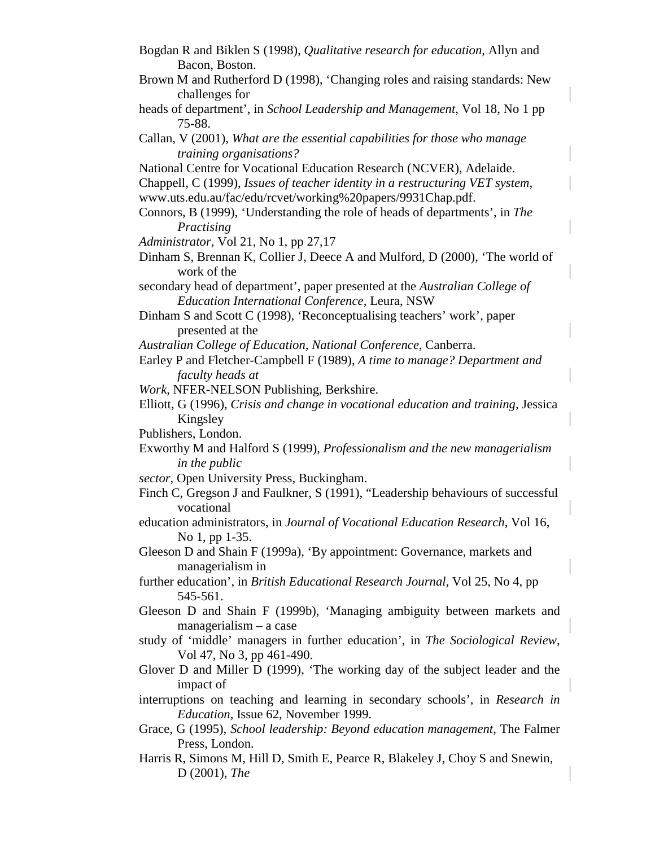Bogdan R and Biklen S (1998), *Qualitative research for education*, Allyn and Bacon, Boston. Brown M and Rutherford D (1998), 'Changing roles and raising standards: New challenges for heads of department', in *School Leadership and Management*, Vol 18, No 1 pp 75-88. Callan, V (2001), *What are the essential capabilities for those who manage training organisations?*  National Centre for Vocational Education Research (NCVER), Adelaide. Chappell, C (1999), *Issues of teacher identity in a restructuring VET system*, www.uts.edu.au/fac/edu/rcvet/working%20papers/9931Chap.pdf. Connors, B (1999), 'Understanding the role of heads of departments', in *The Practising Administrator,* Vol 21, No 1, pp 27,17 Dinham S, Brennan K, Collier J, Deece A and Mulford, D (2000), 'The world of work of the secondary head of department', paper presented at the *Australian College of Education International Conference,* Leura, NSW Dinham S and Scott C (1998), 'Reconceptualising teachers' work', paper presented at the *Australian College of Education, National Conference*, Canberra. Earley P and Fletcher-Campbell F (1989), *A time to manage? Department and faculty heads at Work*, NFER-NELSON Publishing, Berkshire. Elliott, G (1996), *Crisis and change in vocational education and training,* Jessica Kingsley Publishers, London. Exworthy M and Halford S (1999), *Professionalism and the new managerialism in the public sector,* Open University Press, Buckingham. Finch C, Gregson J and Faulkner, S (1991), "Leadership behaviours of successful vocational education administrators, in *Journal of Vocational Education Research,* Vol 16, No 1, pp 1-35. Gleeson D and Shain F (1999a), 'By appointment: Governance, markets and managerialism in further education', in *British Educational Research Journal,* Vol 25, No 4, pp 545-561. Gleeson D and Shain F (1999b), 'Managing ambiguity between markets and managerialism – a case study of 'middle' managers in further education', in *The Sociological Review,*  Vol 47, No 3, pp 461-490. Glover D and Miller D (1999), 'The working day of the subject leader and the impact of interruptions on teaching and learning in secondary schools', in *Research in Education,* Issue 62, November 1999. Grace, G (1995), *School leadership: Beyond education management,* The Falmer Press, London. Harris R, Simons M, Hill D, Smith E, Pearce R, Blakeley J, Choy S and Snewin, D (2001), *The*